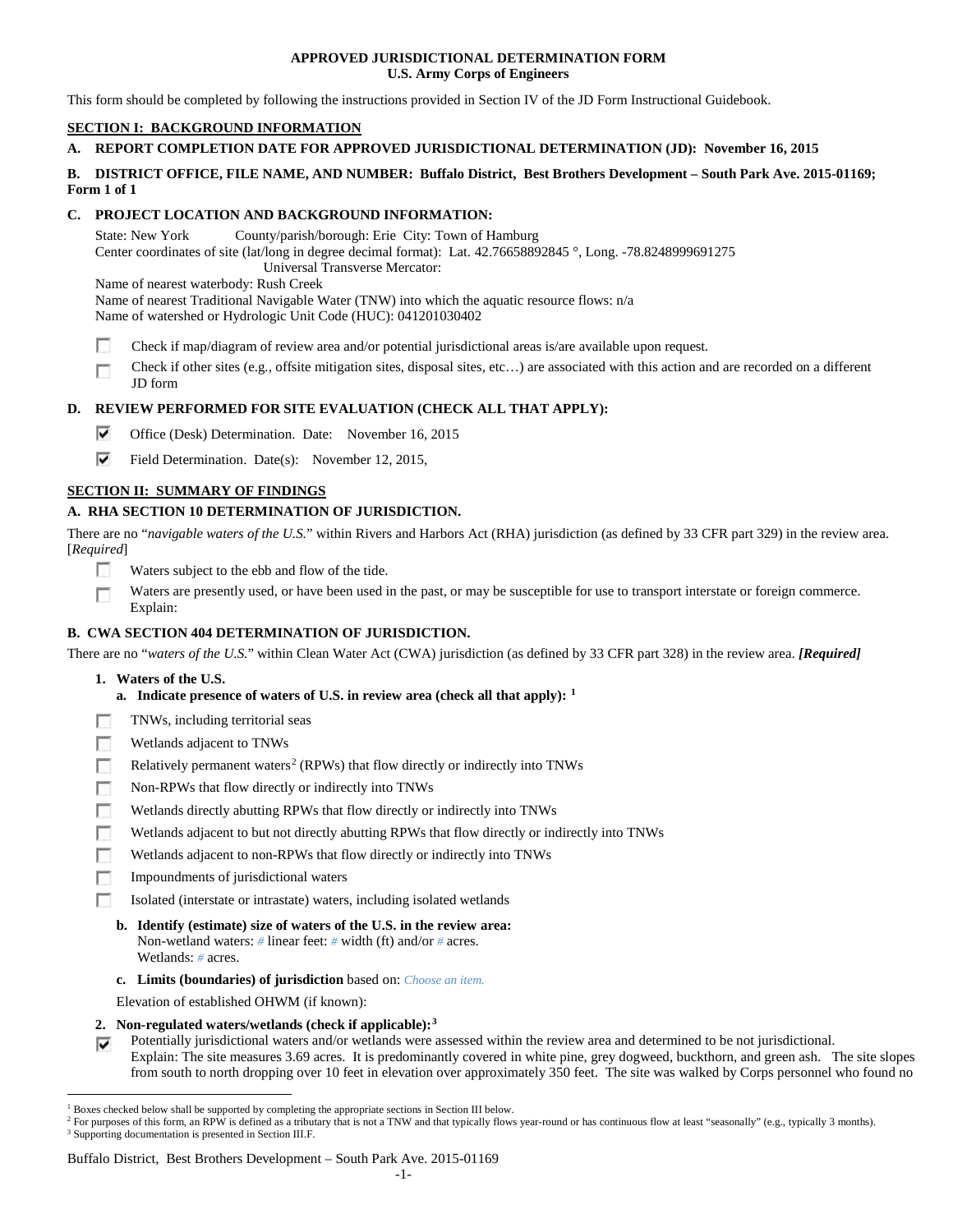## **APPROVED JURISDICTIONAL DETERMINATION FORM U.S. Army Corps of Engineers**

This form should be completed by following the instructions provided in Section IV of the JD Form Instructional Guidebook.

# **SECTION I: BACKGROUND INFORMATION**

## **A. REPORT COMPLETION DATE FOR APPROVED JURISDICTIONAL DETERMINATION (JD): November 16, 2015**

## **B. DISTRICT OFFICE, FILE NAME, AND NUMBER: Buffalo District, Best Brothers Development – South Park Ave. 2015-01169; Form 1 of 1**

# **C. PROJECT LOCATION AND BACKGROUND INFORMATION:**

State: New York County/parish/borough: Erie City: Town of Hamburg Center coordinates of site (lat/long in degree decimal format): Lat. 42.76658892845 °, Long. -78.8248999691275 Universal Transverse Mercator:

Name of nearest waterbody: Rush Creek

Name of nearest Traditional Navigable Water (TNW) into which the aquatic resource flows: n/a Name of watershed or Hydrologic Unit Code (HUC): 041201030402

m Check if map/diagram of review area and/or potential jurisdictional areas is/are available upon request.

Check if other sites (e.g., offsite mitigation sites, disposal sites, etc…) are associated with this action and are recorded on a different  $\sim$ JD form

# **D. REVIEW PERFORMED FOR SITE EVALUATION (CHECK ALL THAT APPLY):**

- ⊽ Office (Desk) Determination. Date: November 16, 2015
- ⊽ Field Determination. Date(s): November 12, 2015,

## **SECTION II: SUMMARY OF FINDINGS**

# **A. RHA SECTION 10 DETERMINATION OF JURISDICTION.**

There are no "*navigable waters of the U.S.*" within Rivers and Harbors Act (RHA) jurisdiction (as defined by 33 CFR part 329) in the review area. [*Required*]

- **IST** Waters subject to the ebb and flow of the tide.
- Waters are presently used, or have been used in the past, or may be susceptible for use to transport interstate or foreign commerce. Г Explain:

## **B. CWA SECTION 404 DETERMINATION OF JURISDICTION.**

There are no "*waters of the U.S.*" within Clean Water Act (CWA) jurisdiction (as defined by 33 CFR part 328) in the review area. *[Required]*

- **1. Waters of the U.S.**
	- **a. Indicate presence of waters of U.S. in review area (check all that apply): [1](#page-0-0)**
- п TNWs, including territorial seas
- Wetlands adjacent to TNWs п
- Relatively permanent waters<sup>[2](#page-0-1)</sup> (RPWs) that flow directly or indirectly into TNWs n
- п Non-RPWs that flow directly or indirectly into TNWs
- Wetlands directly abutting RPWs that flow directly or indirectly into TNWs п
- г Wetlands adjacent to but not directly abutting RPWs that flow directly or indirectly into TNWs
- г Wetlands adjacent to non-RPWs that flow directly or indirectly into TNWs
- п Impoundments of jurisdictional waters
- Isolated (interstate or intrastate) waters, including isolated wetlands n.
	- **b. Identify (estimate) size of waters of the U.S. in the review area:** Non-wetland waters: *#* linear feet: *#* width (ft) and/or *#* acres. Wetlands: *#* acres.
	- **c. Limits (boundaries) of jurisdiction** based on: *Choose an item.*
	- Elevation of established OHWM (if known):
- **2. Non-regulated waters/wetlands (check if applicable):[3](#page-0-2)**
- Potentially jurisdictional waters and/or wetlands were assessed within the review area and determined to be not jurisdictional. Explain: The site measures 3.69 acres. It is predominantly covered in white pine, grey dogweed, buckthorn, and green ash. The site slopes from south to north dropping over 10 feet in elevation over approximately 350 feet. The site was walked by Corps personnel who found no

#### Buffalo District, Best Brothers Development – South Park Ave. 2015-01169

<span id="page-0-0"></span> <sup>1</sup> Boxes checked below shall be supported by completing the appropriate sections in Section III below.

<span id="page-0-2"></span><span id="page-0-1"></span><sup>&</sup>lt;sup>2</sup> For purposes of this form, an RPW is defined as a tributary that is not a TNW and that typically flows year-round or has continuous flow at least "seasonally" (e.g., typically 3 months). <sup>3</sup> Supporting documentation is presented in Section III.F.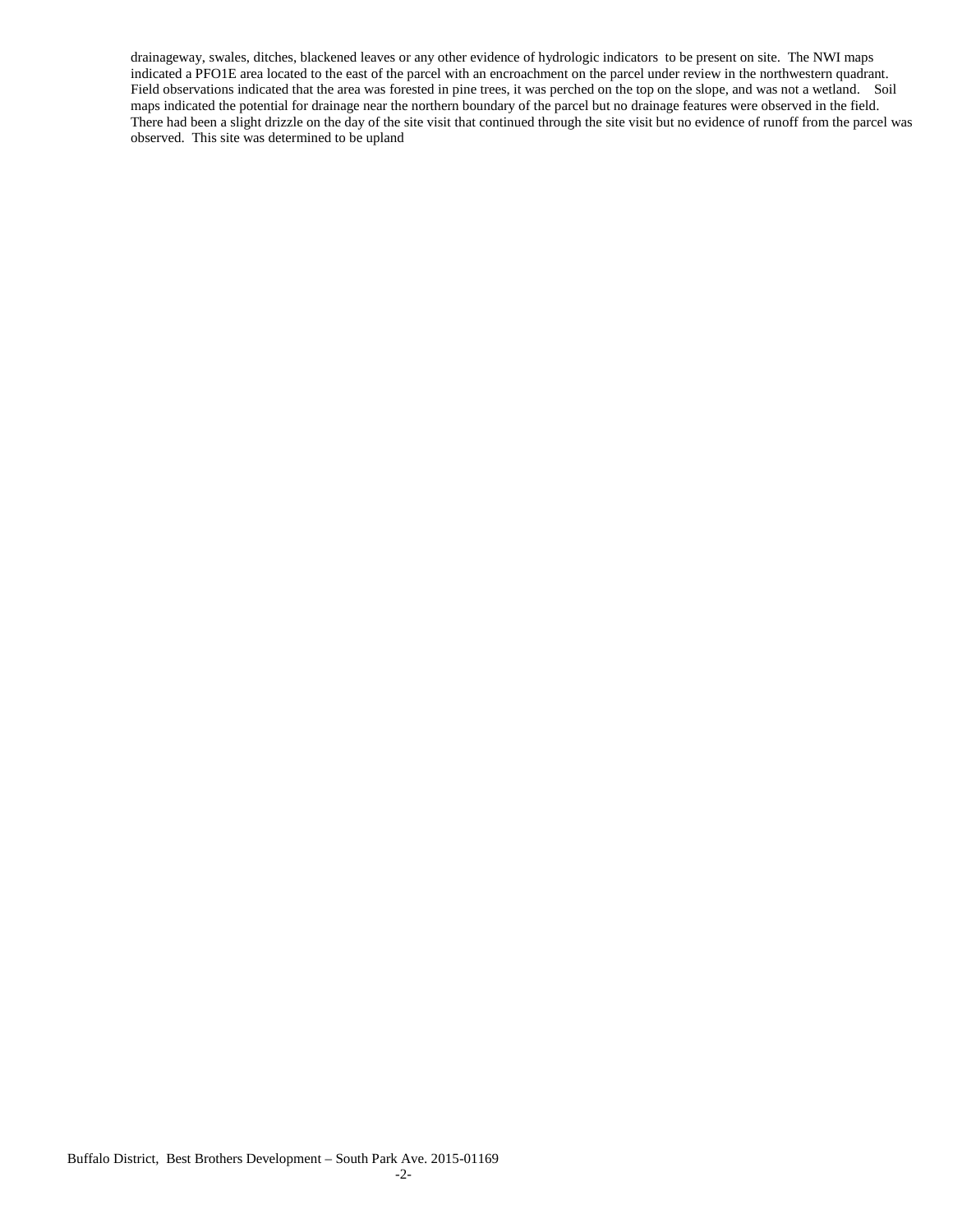drainageway, swales, ditches, blackened leaves or any other evidence of hydrologic indicators to be present on site. The NWI maps indicated a PFO1E area located to the east of the parcel with an encroachment on the parcel under review in the northwestern quadrant. Field observations indicated that the area was forested in pine trees, it was perched on the top on the slope, and was not a wetland. Soil maps indicated the potential for drainage near the northern boundary of the parcel but no drainage features were observed in the field. There had been a slight drizzle on the day of the site visit that continued through the site visit but no evidence of runoff from the parcel was observed. This site was determined to be upland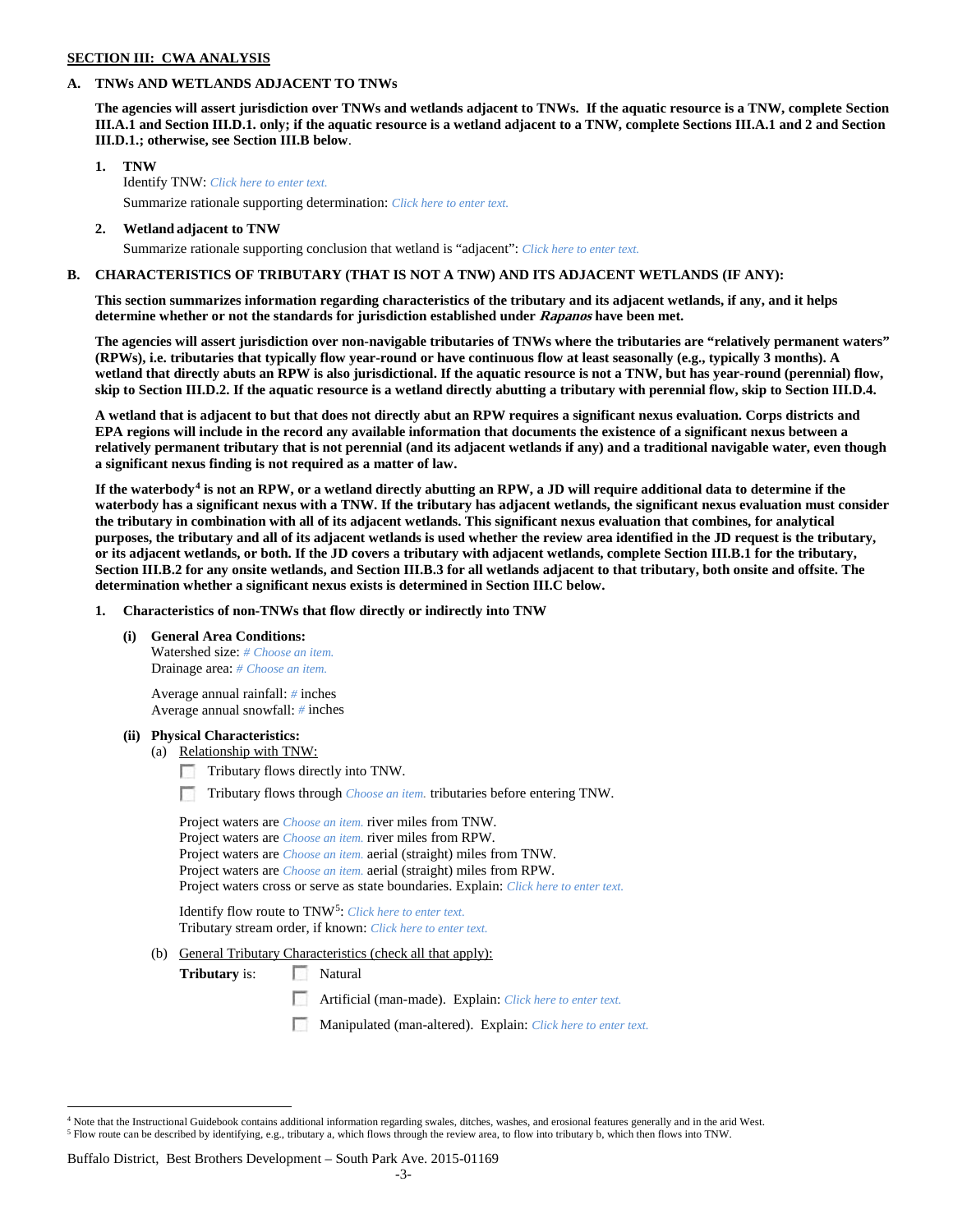## **SECTION III: CWA ANALYSIS**

## **A. TNWs AND WETLANDS ADJACENT TO TNWs**

**The agencies will assert jurisdiction over TNWs and wetlands adjacent to TNWs. If the aquatic resource is a TNW, complete Section III.A.1 and Section III.D.1. only; if the aquatic resource is a wetland adjacent to a TNW, complete Sections III.A.1 and 2 and Section III.D.1.; otherwise, see Section III.B below**.

- **1. TNW**  Identify TNW: *Click here to enter text.* Summarize rationale supporting determination: *Click here to enter text.*
- **2. Wetland adjacent to TNW**
	- Summarize rationale supporting conclusion that wetland is "adjacent": *Click here to enter text.*

#### **B. CHARACTERISTICS OF TRIBUTARY (THAT IS NOT A TNW) AND ITS ADJACENT WETLANDS (IF ANY):**

**This section summarizes information regarding characteristics of the tributary and its adjacent wetlands, if any, and it helps determine whether or not the standards for jurisdiction established under Rapanos have been met.** 

**The agencies will assert jurisdiction over non-navigable tributaries of TNWs where the tributaries are "relatively permanent waters" (RPWs), i.e. tributaries that typically flow year-round or have continuous flow at least seasonally (e.g., typically 3 months). A wetland that directly abuts an RPW is also jurisdictional. If the aquatic resource is not a TNW, but has year-round (perennial) flow, skip to Section III.D.2. If the aquatic resource is a wetland directly abutting a tributary with perennial flow, skip to Section III.D.4.**

**A wetland that is adjacent to but that does not directly abut an RPW requires a significant nexus evaluation. Corps districts and EPA regions will include in the record any available information that documents the existence of a significant nexus between a relatively permanent tributary that is not perennial (and its adjacent wetlands if any) and a traditional navigable water, even though a significant nexus finding is not required as a matter of law.**

**If the waterbody[4](#page-2-0) is not an RPW, or a wetland directly abutting an RPW, a JD will require additional data to determine if the waterbody has a significant nexus with a TNW. If the tributary has adjacent wetlands, the significant nexus evaluation must consider the tributary in combination with all of its adjacent wetlands. This significant nexus evaluation that combines, for analytical purposes, the tributary and all of its adjacent wetlands is used whether the review area identified in the JD request is the tributary, or its adjacent wetlands, or both. If the JD covers a tributary with adjacent wetlands, complete Section III.B.1 for the tributary, Section III.B.2 for any onsite wetlands, and Section III.B.3 for all wetlands adjacent to that tributary, both onsite and offsite. The determination whether a significant nexus exists is determined in Section III.C below.**

**1. Characteristics of non-TNWs that flow directly or indirectly into TNW**

**(i) General Area Conditions:**

Watershed size: *# Choose an item.* Drainage area: *# Choose an item.*

Average annual rainfall: *#* inches Average annual snowfall: *#* inches

#### **(ii) Physical Characteristics:**

- (a) Relationship with TNW:
	- Tributary flows directly into TNW.

n Tributary flows through *Choose an item.* tributaries before entering TNW.

Project waters are *Choose an item.* river miles from TNW. Project waters are *Choose an item.* river miles from RPW. Project waters are *Choose an item.* aerial (straight) miles from TNW. Project waters are *Choose an item.* aerial (straight) miles from RPW. Project waters cross or serve as state boundaries. Explain: *Click here to enter text.*

Identify flow route to TNW[5:](#page-2-1) *Click here to enter text.* Tributary stream order, if known: *Click here to enter text.*

(b) General Tributary Characteristics (check all that apply):

**Tributary** is: Natural

- $\sim$ Artificial (man-made). Explain: *Click here to enter text.*
- Manipulated (man-altered). Explain: *Click here to enter text.*

#### Buffalo District, Best Brothers Development – South Park Ave. 2015-01169

<span id="page-2-1"></span><span id="page-2-0"></span> $4$  Note that the Instructional Guidebook contains additional information regarding swales, ditches, washes, and erosional features generally and in the arid West. <sup>5</sup> Flow route can be described by identifying, e.g., tributary a, which flows through the review area, to flow into tributary b, which then flows into TNW.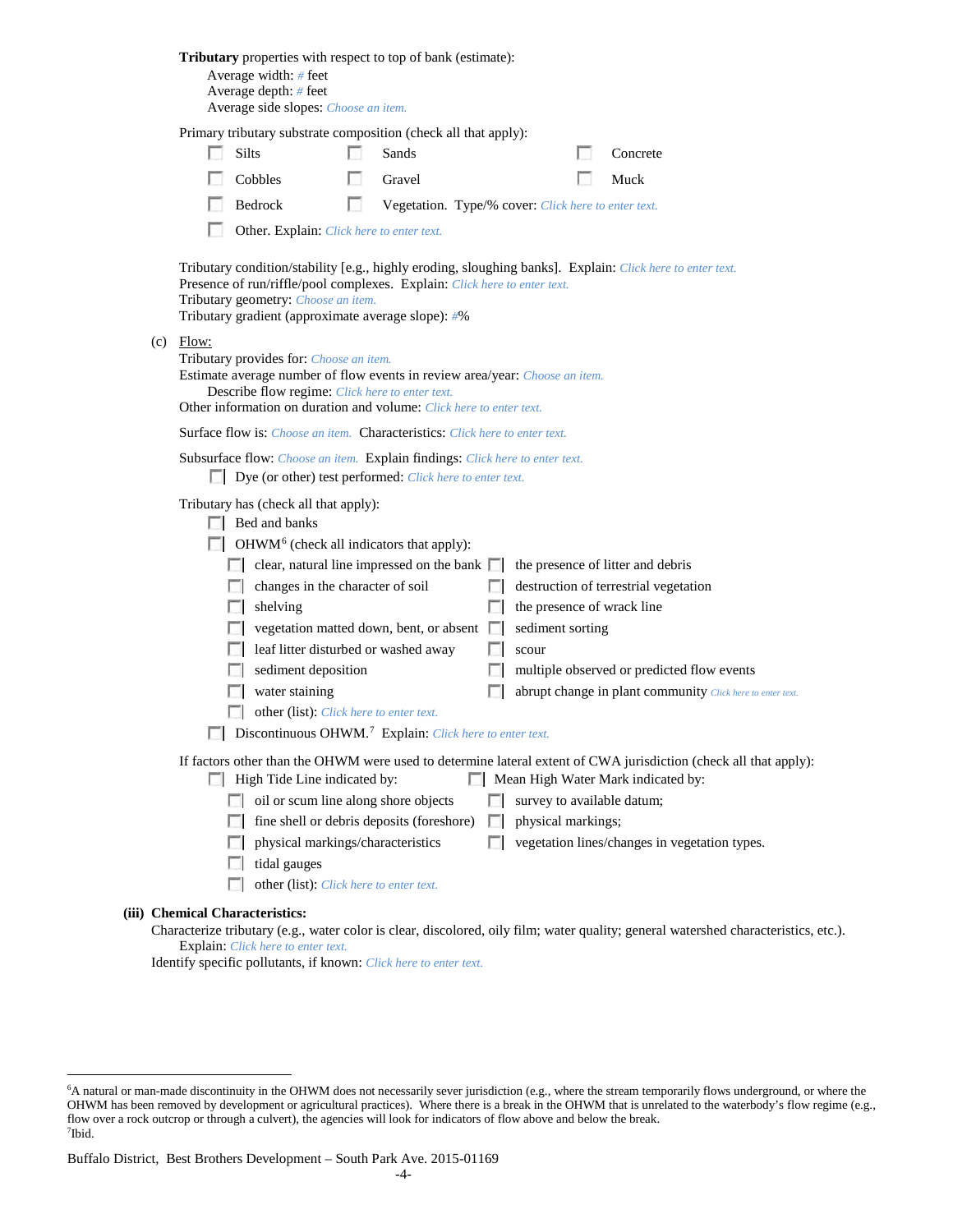|                                                                                                                                                                                                                                                                                     |                                                                                                                                                                                                                                                                                                                                                                                                                                                                                                                                                                                                                                                                                                                                                                                                                                                                                                                                                                                                                                                                                                                                                                                           | Tributary properties with respect to top of bank (estimate):<br>Average width: # feet<br>Average depth: # feet<br>Average side slopes: Choose an item. |   |                                                     |  |  |  |                                                                                                                                     |  |
|-------------------------------------------------------------------------------------------------------------------------------------------------------------------------------------------------------------------------------------------------------------------------------------|-------------------------------------------------------------------------------------------------------------------------------------------------------------------------------------------------------------------------------------------------------------------------------------------------------------------------------------------------------------------------------------------------------------------------------------------------------------------------------------------------------------------------------------------------------------------------------------------------------------------------------------------------------------------------------------------------------------------------------------------------------------------------------------------------------------------------------------------------------------------------------------------------------------------------------------------------------------------------------------------------------------------------------------------------------------------------------------------------------------------------------------------------------------------------------------------|--------------------------------------------------------------------------------------------------------------------------------------------------------|---|-----------------------------------------------------|--|--|--|-------------------------------------------------------------------------------------------------------------------------------------|--|
|                                                                                                                                                                                                                                                                                     |                                                                                                                                                                                                                                                                                                                                                                                                                                                                                                                                                                                                                                                                                                                                                                                                                                                                                                                                                                                                                                                                                                                                                                                           | Primary tributary substrate composition (check all that apply):<br>Silts                                                                               |   | Sands                                               |  |  |  | Concrete                                                                                                                            |  |
|                                                                                                                                                                                                                                                                                     |                                                                                                                                                                                                                                                                                                                                                                                                                                                                                                                                                                                                                                                                                                                                                                                                                                                                                                                                                                                                                                                                                                                                                                                           | Cobbles                                                                                                                                                |   | Gravel                                              |  |  |  | Muck                                                                                                                                |  |
|                                                                                                                                                                                                                                                                                     |                                                                                                                                                                                                                                                                                                                                                                                                                                                                                                                                                                                                                                                                                                                                                                                                                                                                                                                                                                                                                                                                                                                                                                                           | Bedrock                                                                                                                                                | ш | Vegetation. Type/% cover: Click here to enter text. |  |  |  |                                                                                                                                     |  |
|                                                                                                                                                                                                                                                                                     |                                                                                                                                                                                                                                                                                                                                                                                                                                                                                                                                                                                                                                                                                                                                                                                                                                                                                                                                                                                                                                                                                                                                                                                           | Other. Explain: Click here to enter text.                                                                                                              |   |                                                     |  |  |  |                                                                                                                                     |  |
| Tributary condition/stability [e.g., highly eroding, sloughing banks]. Explain: Click here to enter text.<br>Presence of run/riffle/pool complexes. Explain: Click here to enter text.<br>Tributary geometry: Choose an item.<br>Tributary gradient (approximate average slope): #% |                                                                                                                                                                                                                                                                                                                                                                                                                                                                                                                                                                                                                                                                                                                                                                                                                                                                                                                                                                                                                                                                                                                                                                                           |                                                                                                                                                        |   |                                                     |  |  |  |                                                                                                                                     |  |
| (c)                                                                                                                                                                                                                                                                                 | Flow:<br>Tributary provides for: Choose an item.<br>Estimate average number of flow events in review area/year: Choose an item.<br>Describe flow regime: Click here to enter text.<br>Other information on duration and volume: Click here to enter text.                                                                                                                                                                                                                                                                                                                                                                                                                                                                                                                                                                                                                                                                                                                                                                                                                                                                                                                                 |                                                                                                                                                        |   |                                                     |  |  |  |                                                                                                                                     |  |
|                                                                                                                                                                                                                                                                                     |                                                                                                                                                                                                                                                                                                                                                                                                                                                                                                                                                                                                                                                                                                                                                                                                                                                                                                                                                                                                                                                                                                                                                                                           | <b>Surface flow is:</b> <i>Choose an item.</i> <b>Characteristics:</b> <i>Click here to enter text.</i>                                                |   |                                                     |  |  |  |                                                                                                                                     |  |
|                                                                                                                                                                                                                                                                                     | Subsurface flow: Choose an item. Explain findings: Click here to enter text.<br>Dye (or other) test performed: Click here to enter text.                                                                                                                                                                                                                                                                                                                                                                                                                                                                                                                                                                                                                                                                                                                                                                                                                                                                                                                                                                                                                                                  |                                                                                                                                                        |   |                                                     |  |  |  |                                                                                                                                     |  |
|                                                                                                                                                                                                                                                                                     | Tributary has (check all that apply):<br>$\Box$ Bed and banks<br>$\Box$ OHWM <sup>6</sup> (check all indicators that apply):<br>$\Box$ clear, natural line impressed on the bank $\Box$<br>the presence of litter and debris<br>changes in the character of soil<br>destruction of terrestrial vegetation<br>shelving<br>the presence of wrack line<br>sediment sorting<br>vegetation matted down, bent, or absent<br>leaf litter disturbed or washed away<br>scour<br>sediment deposition<br>multiple observed or predicted flow events<br>water staining<br>abrupt change in plant community Click here to enter text.<br>other (list): Click here to enter text.<br>Discontinuous OHWM. <sup>7</sup> Explain: Click here to enter text.<br>If factors other than the OHWM were used to determine lateral extent of CWA jurisdiction (check all that apply):<br>Mean High Water Mark indicated by:<br>High Tide Line indicated by:<br>oil or scum line along shore objects<br>survey to available datum;<br>fine shell or debris deposits (foreshore)<br>physical markings;<br>L.<br>L.<br>vegetation lines/changes in vegetation types.<br>physical markings/characteristics<br>$\sim$ |                                                                                                                                                        |   |                                                     |  |  |  |                                                                                                                                     |  |
|                                                                                                                                                                                                                                                                                     |                                                                                                                                                                                                                                                                                                                                                                                                                                                                                                                                                                                                                                                                                                                                                                                                                                                                                                                                                                                                                                                                                                                                                                                           | tidal gauges<br>other (list): Click here to enter text.                                                                                                |   |                                                     |  |  |  |                                                                                                                                     |  |
|                                                                                                                                                                                                                                                                                     |                                                                                                                                                                                                                                                                                                                                                                                                                                                                                                                                                                                                                                                                                                                                                                                                                                                                                                                                                                                                                                                                                                                                                                                           | <b>Chemical Characteristics:</b>                                                                                                                       |   |                                                     |  |  |  |                                                                                                                                     |  |
|                                                                                                                                                                                                                                                                                     |                                                                                                                                                                                                                                                                                                                                                                                                                                                                                                                                                                                                                                                                                                                                                                                                                                                                                                                                                                                                                                                                                                                                                                                           | Explain: Click here to enter text.                                                                                                                     |   |                                                     |  |  |  | Characterize tributary (e.g., water color is clear, discolored, oily film; water quality; general watershed characteristics, etc.). |  |

Identify specific pollutants, if known: *Click here to enter text.*

**(iii)** 

<span id="page-3-1"></span><span id="page-3-0"></span> <sup>6</sup> <sup>6</sup>A natural or man-made discontinuity in the OHWM does not necessarily sever jurisdiction (e.g., where the stream temporarily flows underground, or where the OHWM has been removed by development or agricultural practices). Where there is a break in the OHWM that is unrelated to the waterbody's flow regime (e.g., flow over a rock outcrop or through a culvert), the agencies will look for indicators of flow above and below the break. 7 Ibid.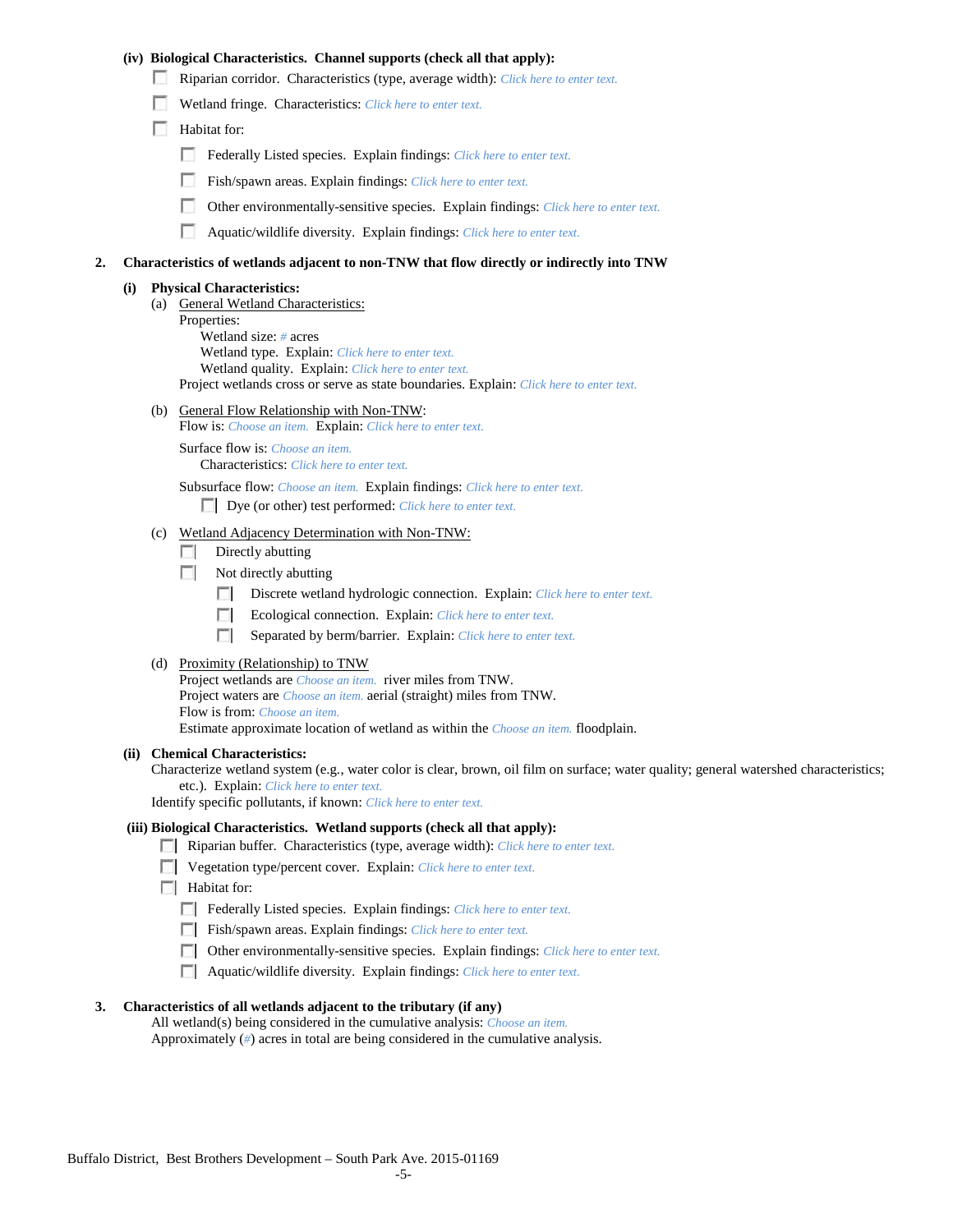## **(iv) Biological Characteristics. Channel supports (check all that apply):**

- Riparian corridor. Characteristics (type, average width): *Click here to enter text.*
- Wetland fringe. Characteristics: *Click here to enter text.*
- Habitat for:
	- Federally Listed species. Explain findings: *Click here to enter text.*
	- Fish/spawn areas. Explain findings: *Click here to enter text.*
	- Other environmentally-sensitive species. Explain findings: *Click here to enter text.* п.
	- n Aquatic/wildlife diversity. Explain findings: *Click here to enter text.*

#### **2. Characteristics of wetlands adjacent to non-TNW that flow directly or indirectly into TNW**

#### **(i) Physical Characteristics:**

- (a) General Wetland Characteristics:
	- Properties:

Wetland size: *#* acres Wetland type. Explain: *Click here to enter text.*

Wetland quality. Explain: *Click here to enter text.*

Project wetlands cross or serve as state boundaries. Explain: *Click here to enter text.*

(b) General Flow Relationship with Non-TNW: Flow is: *Choose an item.* Explain: *Click here to enter text.*

Surface flow is: *Choose an item.* Characteristics: *Click here to enter text.*

Subsurface flow: *Choose an item.* Explain findings: *Click here to enter text.*

Dye (or other) test performed: *Click here to enter text.*

#### (c) Wetland Adjacency Determination with Non-TNW:

- $\Box$  Directly abutting
- Not directly abutting
	- 100 Discrete wetland hydrologic connection. Explain: *Click here to enter text.*
	- Ecological connection. Explain: *Click here to enter text.* **The Contract of the Contract of the Contract of the Contract of the Contract of the Contract of the Contract of the Contract of the Contract of the Contract of the Contract of the Contract of the Contract of the Contract**
	- $\sim$ Separated by berm/barrier. Explain: *Click here to enter text.*
- (d) Proximity (Relationship) to TNW

Project wetlands are *Choose an item.* river miles from TNW. Project waters are *Choose an item.* aerial (straight) miles from TNW. Flow is from: *Choose an item.* Estimate approximate location of wetland as within the *Choose an item.* floodplain.

#### **(ii) Chemical Characteristics:**

Characterize wetland system (e.g., water color is clear, brown, oil film on surface; water quality; general watershed characteristics; etc.). Explain: *Click here to enter text.*

Identify specific pollutants, if known: *Click here to enter text.*

## **(iii) Biological Characteristics. Wetland supports (check all that apply):**

- Riparian buffer. Characteristics (type, average width): *Click here to enter text.*
- Vegetation type/percent cover. Explain: *Click here to enter text.*
- $\Box$  Habitat for:
	- Federally Listed species. Explain findings: *Click here to enter text*.
	- Fish/spawn areas. Explain findings: *Click here to enter text*.
	- Other environmentally-sensitive species. Explain findings: *Click here to enter text.*
	- Aquatic/wildlife diversity. Explain findings: *Click here to enter text.*

#### **3. Characteristics of all wetlands adjacent to the tributary (if any)**

All wetland(s) being considered in the cumulative analysis: *Choose an item.* Approximately (*#*) acres in total are being considered in the cumulative analysis.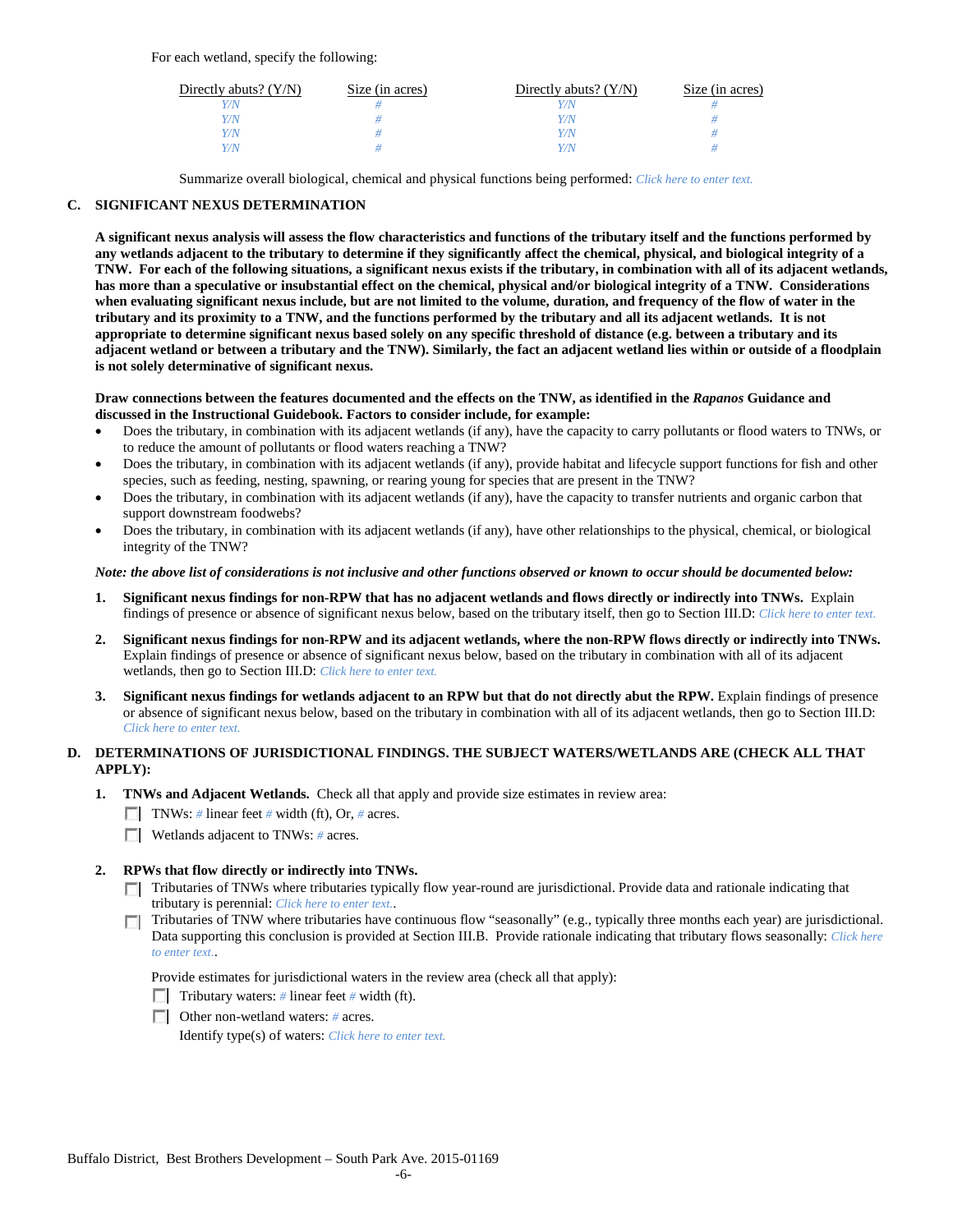For each wetland, specify the following:

| Directly abuts? $(Y/N)$ | Size (in acres) | Directly abuts? $(Y/N)$ | Size (in acres) |
|-------------------------|-----------------|-------------------------|-----------------|
|                         |                 | Y/N                     |                 |
| V/N                     |                 | Y/N                     |                 |
| V/N                     |                 | Y/N                     |                 |
|                         |                 | Y/N                     |                 |

Summarize overall biological, chemical and physical functions being performed: *Click here to enter text.*

## **C. SIGNIFICANT NEXUS DETERMINATION**

**A significant nexus analysis will assess the flow characteristics and functions of the tributary itself and the functions performed by any wetlands adjacent to the tributary to determine if they significantly affect the chemical, physical, and biological integrity of a TNW. For each of the following situations, a significant nexus exists if the tributary, in combination with all of its adjacent wetlands, has more than a speculative or insubstantial effect on the chemical, physical and/or biological integrity of a TNW. Considerations when evaluating significant nexus include, but are not limited to the volume, duration, and frequency of the flow of water in the tributary and its proximity to a TNW, and the functions performed by the tributary and all its adjacent wetlands. It is not appropriate to determine significant nexus based solely on any specific threshold of distance (e.g. between a tributary and its adjacent wetland or between a tributary and the TNW). Similarly, the fact an adjacent wetland lies within or outside of a floodplain is not solely determinative of significant nexus.** 

#### **Draw connections between the features documented and the effects on the TNW, as identified in the** *Rapanos* **Guidance and discussed in the Instructional Guidebook. Factors to consider include, for example:**

- Does the tributary, in combination with its adjacent wetlands (if any), have the capacity to carry pollutants or flood waters to TNWs, or to reduce the amount of pollutants or flood waters reaching a TNW?
- Does the tributary, in combination with its adjacent wetlands (if any), provide habitat and lifecycle support functions for fish and other species, such as feeding, nesting, spawning, or rearing young for species that are present in the TNW?
- Does the tributary, in combination with its adjacent wetlands (if any), have the capacity to transfer nutrients and organic carbon that support downstream foodwebs?
- Does the tributary, in combination with its adjacent wetlands (if any), have other relationships to the physical, chemical, or biological integrity of the TNW?

#### *Note: the above list of considerations is not inclusive and other functions observed or known to occur should be documented below:*

- **1. Significant nexus findings for non-RPW that has no adjacent wetlands and flows directly or indirectly into TNWs.** Explain findings of presence or absence of significant nexus below, based on the tributary itself, then go to Section III.D: *Click here to enter text.*
- **2. Significant nexus findings for non-RPW and its adjacent wetlands, where the non-RPW flows directly or indirectly into TNWs.**  Explain findings of presence or absence of significant nexus below, based on the tributary in combination with all of its adjacent wetlands, then go to Section III.D: *Click here to enter text.*
- **3. Significant nexus findings for wetlands adjacent to an RPW but that do not directly abut the RPW.** Explain findings of presence or absence of significant nexus below, based on the tributary in combination with all of its adjacent wetlands, then go to Section III.D: *Click here to enter text.*

# **D. DETERMINATIONS OF JURISDICTIONAL FINDINGS. THE SUBJECT WATERS/WETLANDS ARE (CHECK ALL THAT APPLY):**

- **1. TNWs and Adjacent Wetlands.** Check all that apply and provide size estimates in review area:
	- TNWs: *#* linear feet *#* width (ft), Or, *#* acres.
	- **Wetlands adjacent to TNWs:** # acres.

## **2. RPWs that flow directly or indirectly into TNWs.**

- Tributaries of TNWs where tributaries typically flow year-round are jurisdictional. Provide data and rationale indicating that tributary is perennial: *Click here to enter text.*.
- Tributaries of TNW where tributaries have continuous flow "seasonally" (e.g., typically three months each year) are jurisdictional.  $\mathcal{L}$ Data supporting this conclusion is provided at Section III.B. Provide rationale indicating that tributary flows seasonally: *Click here to enter text.*.

Provide estimates for jurisdictional waters in the review area (check all that apply):

- Tributary waters: # linear feet # width (ft).
- Other non-wetland waters: *#* acres.

Identify type(s) of waters: *Click here to enter text.*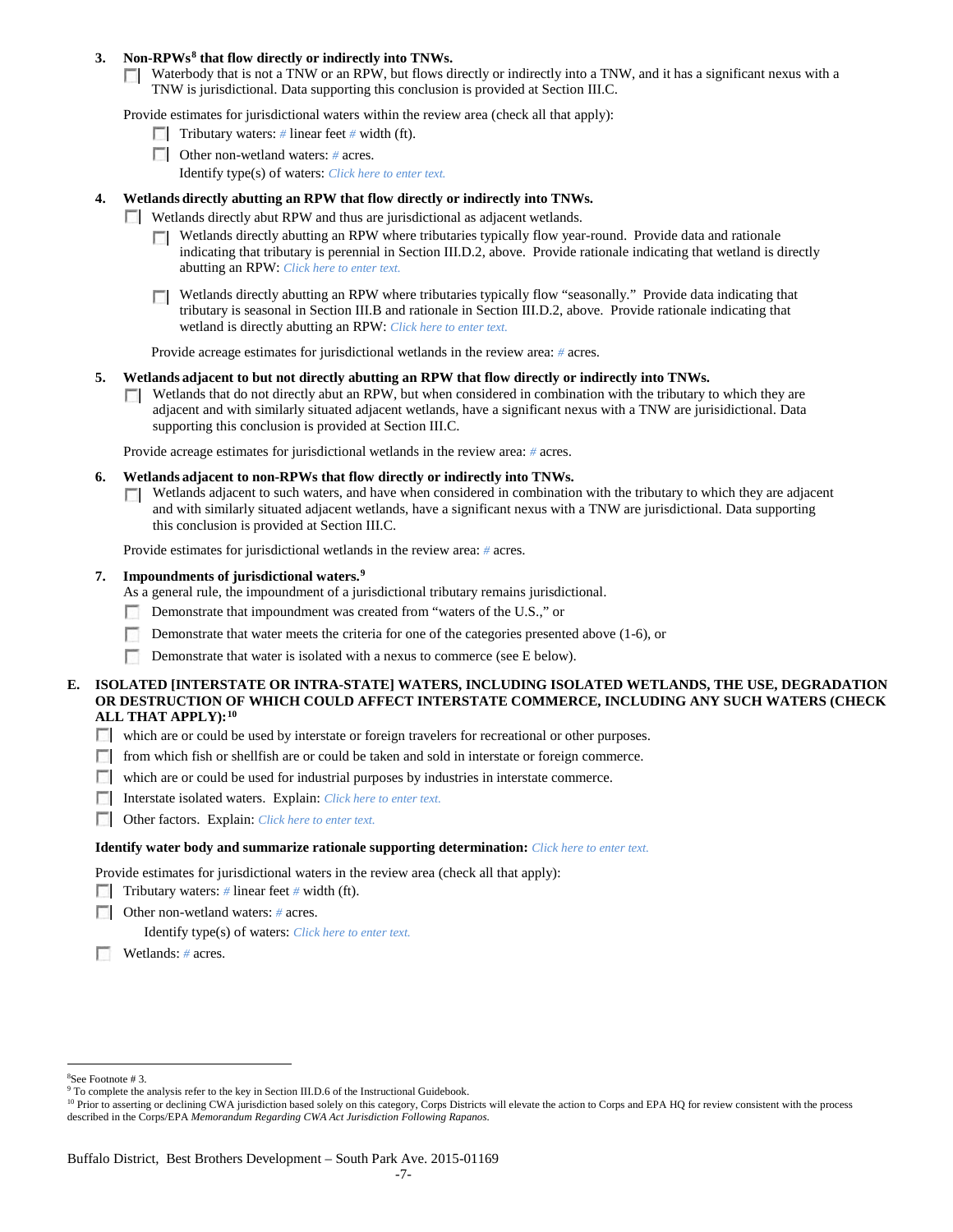## **3. Non-RPWs[8](#page-6-0) that flow directly or indirectly into TNWs.**

Waterbody that is not a TNW or an RPW, but flows directly or indirectly into a TNW, and it has a significant nexus with a TNW is jurisdictional. Data supporting this conclusion is provided at Section III.C.

Provide estimates for jurisdictional waters within the review area (check all that apply):

- **Tributary waters:** # linear feet # width (ft).
- Other non-wetland waters: # acres. Identify type(s) of waters: *Click here to enter text.*
- **4. Wetlands directly abutting an RPW that flow directly or indirectly into TNWs.**
	- **Wetlands directly abut RPW and thus are jurisdictional as adjacent wetlands.** 
		- $\Box$  Wetlands directly abutting an RPW where tributaries typically flow year-round. Provide data and rationale indicating that tributary is perennial in Section III.D.2, above. Provide rationale indicating that wetland is directly abutting an RPW: *Click here to enter text.*
		- Wetlands directly abutting an RPW where tributaries typically flow "seasonally." Provide data indicating that tributary is seasonal in Section III.B and rationale in Section III.D.2, above. Provide rationale indicating that wetland is directly abutting an RPW: *Click here to enter text.*

Provide acreage estimates for jurisdictional wetlands in the review area: *#* acres.

- **5. Wetlands adjacent to but not directly abutting an RPW that flow directly or indirectly into TNWs.**
	- $\Box$  Wetlands that do not directly abut an RPW, but when considered in combination with the tributary to which they are adjacent and with similarly situated adjacent wetlands, have a significant nexus with a TNW are jurisidictional. Data supporting this conclusion is provided at Section III.C.

Provide acreage estimates for jurisdictional wetlands in the review area: *#* acres.

- **6. Wetlands adjacent to non-RPWs that flow directly or indirectly into TNWs.** 
	- Wetlands adjacent to such waters, and have when considered in combination with the tributary to which they are adjacent **TO** and with similarly situated adjacent wetlands, have a significant nexus with a TNW are jurisdictional. Data supporting this conclusion is provided at Section III.C.

Provide estimates for jurisdictional wetlands in the review area: *#* acres.

## **7. Impoundments of jurisdictional waters. [9](#page-6-1)**

As a general rule, the impoundment of a jurisdictional tributary remains jurisdictional.

- Demonstrate that impoundment was created from "waters of the U.S.," or
- Demonstrate that water meets the criteria for one of the categories presented above (1-6), or
- n Demonstrate that water is isolated with a nexus to commerce (see E below).
- **E. ISOLATED [INTERSTATE OR INTRA-STATE] WATERS, INCLUDING ISOLATED WETLANDS, THE USE, DEGRADATION OR DESTRUCTION OF WHICH COULD AFFECT INTERSTATE COMMERCE, INCLUDING ANY SUCH WATERS (CHECK ALL THAT APPLY):[10](#page-6-2)**
	- which are or could be used by interstate or foreign travelers for recreational or other purposes.
	- from which fish or shellfish are or could be taken and sold in interstate or foreign commerce.
	- which are or could be used for industrial purposes by industries in interstate commerce.
	- Interstate isolated waters.Explain: *Click here to enter text.*
	- Other factors.Explain: *Click here to enter text.*

#### **Identify water body and summarize rationale supporting determination:** *Click here to enter text.*

Provide estimates for jurisdictional waters in the review area (check all that apply):

- Tributary waters: # linear feet # width (ft).
- Other non-wetland waters: *#* acres.

Identify type(s) of waters: *Click here to enter text.*

Wetlands: *#* acres.

 $\frac{1}{8}$ See Footnote # 3.

<span id="page-6-2"></span><span id="page-6-1"></span><span id="page-6-0"></span><sup>&</sup>lt;sup>9</sup> To complete the analysis refer to the key in Section III.D.6 of the Instructional Guidebook.

<sup>&</sup>lt;sup>10</sup> Prior to asserting or declining CWA jurisdiction based solely on this category, Corps Districts will elevate the action to Corps and EPA HQ for review consistent with the process described in the Corps/EPA *Memorandum Regarding CWA Act Jurisdiction Following Rapanos.*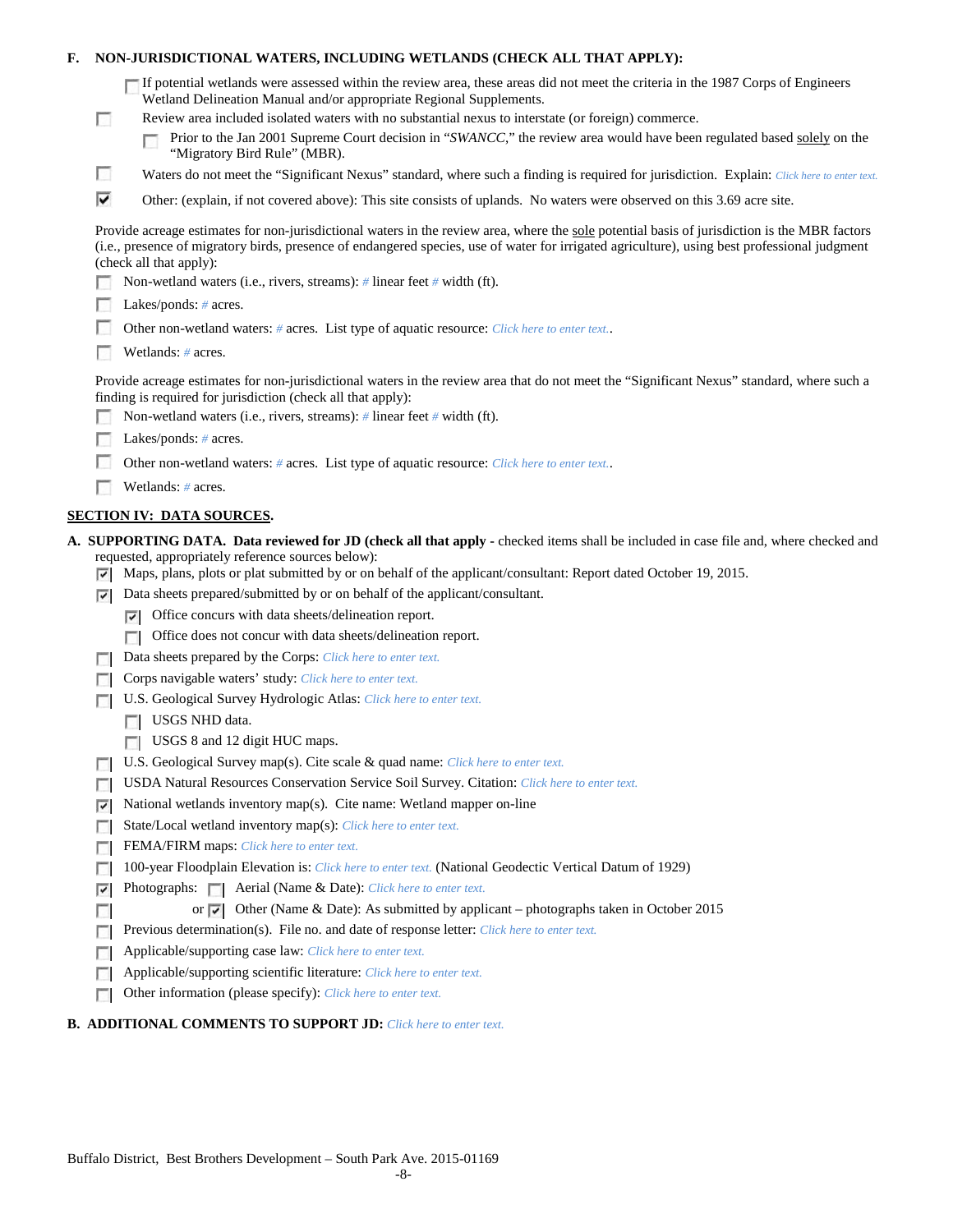| F. |                                                                                            | NON-JURISDICTIONAL WATERS, INCLUDING WETLANDS (CHECK ALL THAT APPLY):                                                                                                                                                                                                                                                     |  |  |  |  |  |
|----|--------------------------------------------------------------------------------------------|---------------------------------------------------------------------------------------------------------------------------------------------------------------------------------------------------------------------------------------------------------------------------------------------------------------------------|--|--|--|--|--|
|    | <b>COL</b>                                                                                 | If potential wetlands were assessed within the review area, these areas did not meet the criteria in the 1987 Corps of Engineers<br>Wetland Delineation Manual and/or appropriate Regional Supplements.<br>Review area included isolated waters with no substantial nexus to interstate (or foreign) commerce.            |  |  |  |  |  |
|    |                                                                                            | Prior to the Jan 2001 Supreme Court decision in "SWANCC," the review area would have been regulated based solely on the<br>"Migratory Bird Rule" (MBR).                                                                                                                                                                   |  |  |  |  |  |
|    | o                                                                                          | Waters do not meet the "Significant Nexus" standard, where such a finding is required for jurisdiction. Explain: Click here to enter text.                                                                                                                                                                                |  |  |  |  |  |
|    | ⊽                                                                                          | Other: (explain, if not covered above): This site consists of uplands. No waters were observed on this 3.69 acre site.                                                                                                                                                                                                    |  |  |  |  |  |
|    |                                                                                            | Provide acreage estimates for non-jurisdictional waters in the review area, where the sole potential basis of jurisdiction is the MBR factors<br>(i.e., presence of migratory birds, presence of endangered species, use of water for irrigated agriculture), using best professional judgment<br>(check all that apply): |  |  |  |  |  |
|    |                                                                                            | Non-wetland waters (i.e., rivers, streams): # linear feet # width (ft).                                                                                                                                                                                                                                                   |  |  |  |  |  |
|    | Lakes/ponds: $# \, \text{acres.}$                                                          |                                                                                                                                                                                                                                                                                                                           |  |  |  |  |  |
|    | Other non-wetland waters: # acres. List type of aquatic resource: Click here to enter text |                                                                                                                                                                                                                                                                                                                           |  |  |  |  |  |
|    |                                                                                            | Wetlands: # acres.                                                                                                                                                                                                                                                                                                        |  |  |  |  |  |
|    |                                                                                            | Provide acreage estimates for non-jurisdictional waters in the review area that do not meet the "Significant Nexus" standard, where such a<br>finding is required for jurisdiction (check all that apply):                                                                                                                |  |  |  |  |  |
|    |                                                                                            | Non-wetland waters (i.e., rivers, streams): $#$ linear feet $#$ width (ft).                                                                                                                                                                                                                                               |  |  |  |  |  |
|    |                                                                                            | Lakes/ponds: $# \, \text{acres.}$                                                                                                                                                                                                                                                                                         |  |  |  |  |  |
|    |                                                                                            | Other non-wetland waters: # acres. List type of aquatic resource: Click here to enter text                                                                                                                                                                                                                                |  |  |  |  |  |
|    |                                                                                            | Wetlands: # acres.                                                                                                                                                                                                                                                                                                        |  |  |  |  |  |
|    |                                                                                            | <b>SECTION IV: DATA SOURCES.</b>                                                                                                                                                                                                                                                                                          |  |  |  |  |  |
|    | ⊡                                                                                          | A. SUPPORTING DATA. Data reviewed for JD (check all that apply - checked items shall be included in case file and, where checked and<br>requested, appropriately reference sources below):<br>Maps, plans, plots or plat submitted by or on behalf of the applicant/consultant: Report dated October 19, 2015.            |  |  |  |  |  |
|    | 罓                                                                                          | Data sheets prepared/submitted by or on behalf of the applicant/consultant.                                                                                                                                                                                                                                               |  |  |  |  |  |
|    |                                                                                            | Office concurs with data sheets/delineation report.<br>⊡                                                                                                                                                                                                                                                                  |  |  |  |  |  |
|    |                                                                                            | Office does not concur with data sheets/delineation report.<br>n                                                                                                                                                                                                                                                          |  |  |  |  |  |
|    |                                                                                            | Data sheets prepared by the Corps: Click here to enter text.                                                                                                                                                                                                                                                              |  |  |  |  |  |
|    |                                                                                            | Corps navigable waters' study: Click here to enter text.                                                                                                                                                                                                                                                                  |  |  |  |  |  |
|    |                                                                                            | U.S. Geological Survey Hydrologic Atlas: Click here to enter text.                                                                                                                                                                                                                                                        |  |  |  |  |  |
|    |                                                                                            | USGS NHD data.                                                                                                                                                                                                                                                                                                            |  |  |  |  |  |
|    |                                                                                            | <b>USGS 8 and 12 digit HUC maps.</b>                                                                                                                                                                                                                                                                                      |  |  |  |  |  |
|    |                                                                                            | U.S. Geological Survey map(s). Cite scale & quad name: Click here to enter text.                                                                                                                                                                                                                                          |  |  |  |  |  |
|    |                                                                                            | USDA Natural Resources Conservation Service Soil Survey. Citation: Click here to enter text.                                                                                                                                                                                                                              |  |  |  |  |  |
|    | ⊽                                                                                          | National wetlands inventory map(s). Cite name: Wetland mapper on-line                                                                                                                                                                                                                                                     |  |  |  |  |  |
|    | п                                                                                          | State/Local wetland inventory map(s): Click here to enter text.                                                                                                                                                                                                                                                           |  |  |  |  |  |
|    |                                                                                            | FEMA/FIRM maps: Click here to enter text.                                                                                                                                                                                                                                                                                 |  |  |  |  |  |
|    |                                                                                            | 100-year Floodplain Elevation is: Click here to enter text. (National Geodectic Vertical Datum of 1929)                                                                                                                                                                                                                   |  |  |  |  |  |
|    | ⊽                                                                                          | Photographs:   Aerial (Name & Date): Click here to enter text.                                                                                                                                                                                                                                                            |  |  |  |  |  |
|    |                                                                                            | or $\sqrt{\sqrt{}}$ Other (Name & Date): As submitted by applicant – photographs taken in October 2015                                                                                                                                                                                                                    |  |  |  |  |  |
|    |                                                                                            | Previous determination(s). File no. and date of response letter: Click here to enter text.                                                                                                                                                                                                                                |  |  |  |  |  |
|    |                                                                                            | Applicable/supporting case law: Click here to enter text.                                                                                                                                                                                                                                                                 |  |  |  |  |  |
|    | D                                                                                          | Applicable/supporting scientific literature: Click here to enter text.                                                                                                                                                                                                                                                    |  |  |  |  |  |
|    |                                                                                            | Other information (please specify): Click here to enter text.                                                                                                                                                                                                                                                             |  |  |  |  |  |

# **B. ADDITIONAL COMMENTS TO SUPPORT JD:** *Click here to enter text.*